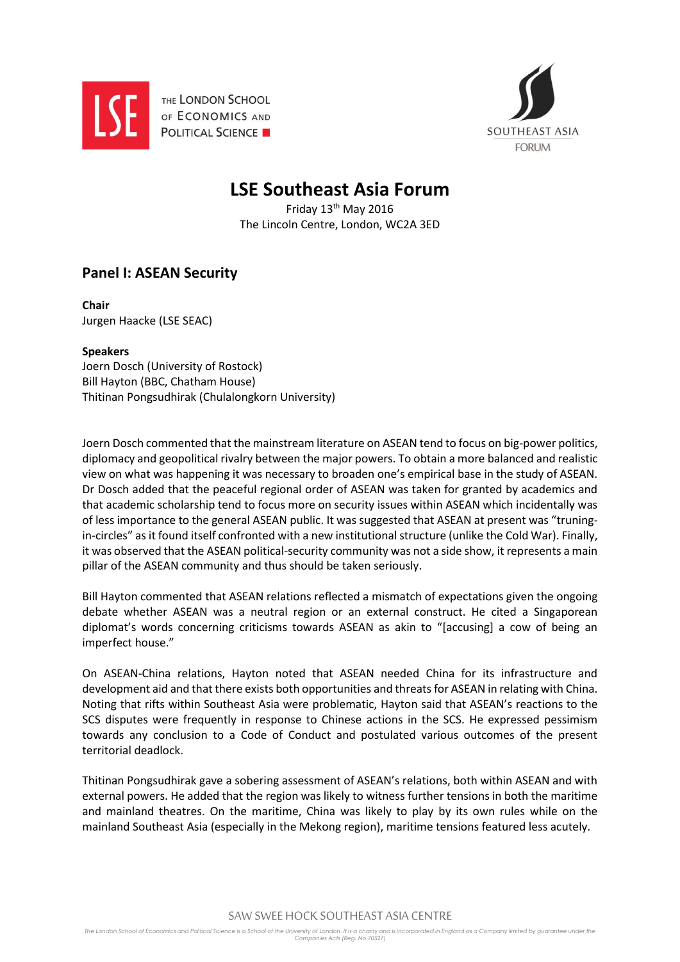

THE LONDON SCHOOL OF ECONOMICS AND **POLITICAL SCIENCE** 



## **LSE Southeast Asia Forum**

Friday 13th May 2016 The Lincoln Centre, London, WC2A 3ED

## **Panel I: ASEAN Security**

**Chair** Jurgen Haacke (LSE SEAC)

## **Speakers**

Joern Dosch (University of Rostock) Bill Hayton (BBC, Chatham House) Thitinan Pongsudhirak (Chulalongkorn University)

Joern Dosch commented that the mainstream literature on ASEAN tend to focus on big-power politics, diplomacy and geopolitical rivalry between the major powers. To obtain a more balanced and realistic view on what was happening it was necessary to broaden one's empirical base in the study of ASEAN. Dr Dosch added that the peaceful regional order of ASEAN was taken for granted by academics and that academic scholarship tend to focus more on security issues within ASEAN which incidentally was of less importance to the general ASEAN public. It was suggested that ASEAN at present was "truningin-circles" as it found itself confronted with a new institutional structure (unlike the Cold War). Finally, it was observed that the ASEAN political-security community was not a side show, it represents a main pillar of the ASEAN community and thus should be taken seriously.

Bill Hayton commented that ASEAN relations reflected a mismatch of expectations given the ongoing debate whether ASEAN was a neutral region or an external construct. He cited a Singaporean diplomat's words concerning criticisms towards ASEAN as akin to "[accusing] a cow of being an imperfect house."

On ASEAN-China relations, Hayton noted that ASEAN needed China for its infrastructure and development aid and that there exists both opportunities and threats for ASEAN in relating with China. Noting that rifts within Southeast Asia were problematic, Hayton said that ASEAN's reactions to the SCS disputes were frequently in response to Chinese actions in the SCS. He expressed pessimism towards any conclusion to a Code of Conduct and postulated various outcomes of the present territorial deadlock.

Thitinan Pongsudhirak gave a sobering assessment of ASEAN's relations, both within ASEAN and with external powers. He added that the region was likely to witness further tensions in both the maritime and mainland theatres. On the maritime, China was likely to play by its own rules while on the mainland Southeast Asia (especially in the Mekong region), maritime tensions featured less acutely.

SAW SWEE HOCK SOUTHEAST ASIA CENTRE